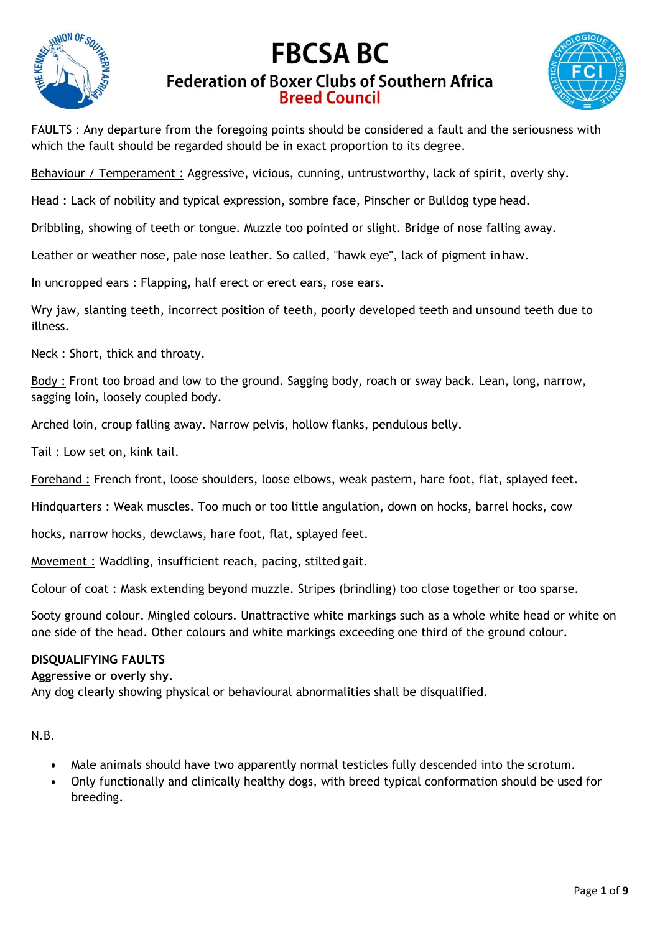

# **FBCSA BC Federation of Boxer Clubs of Southern Africa Breed Council**



FAULTS : Any departure from the foregoing points should be considered a fault and the seriousness with which the fault should be regarded should be in exact proportion to its degree.

Behaviour / Temperament : Aggressive, vicious, cunning, untrustworthy, lack of spirit, overly shy.

Head : Lack of nobility and typical expression, sombre face, Pinscher or Bulldog type head.

Dribbling, showing of teeth or tongue. Muzzle too pointed or slight. Bridge of nose falling away.

Leather or weather nose, pale nose leather. So called, "hawk eye", lack of pigment in haw.

In uncropped ears : Flapping, half erect or erect ears, rose ears.

Wry jaw, slanting teeth, incorrect position of teeth, poorly developed teeth and unsound teeth due to illness.

Neck : Short, thick and throaty.

Body : Front too broad and low to the ground. Sagging body, roach or sway back. Lean, long, narrow, sagging loin, loosely coupled body.

Arched loin, croup falling away. Narrow pelvis, hollow flanks, pendulous belly.

Tail : Low set on, kink tail.

Forehand : French front, loose shoulders, loose elbows, weak pastern, hare foot, flat, splayed feet.

Hindquarters : Weak muscles. Too much or too little angulation, down on hocks, barrel hocks, cow

hocks, narrow hocks, dewclaws, hare foot, flat, splayed feet.

Movement : Waddling, insufficient reach, pacing, stilted gait.

Colour of coat : Mask extending beyond muzzle. Stripes (brindling) too close together or too sparse.

Sooty ground colour. Mingled colours. Unattractive white markings such as a whole white head or white on one side of the head. Other colours and white markings exceeding one third of the ground colour.

#### **DISQUALIFYING FAULTS**

### **Aggressive or overly shy.**

Any dog clearly showing physical or behavioural abnormalities shall be disqualified.

N.B.

- Male animals should have two apparently normal testicles fully descended into the scrotum.
- Only functionally and clinically healthy dogs, with breed typical conformation should be used for breeding.